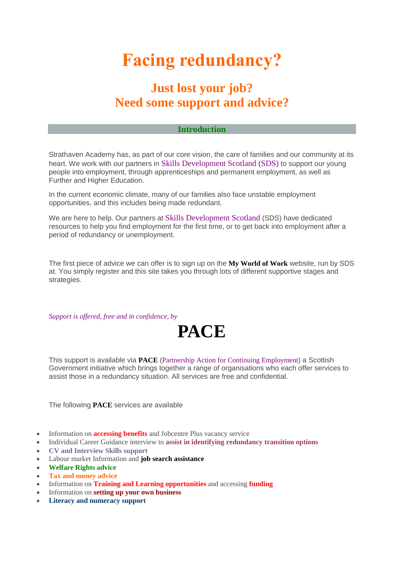## **Facing redundancy?**

## **Just lost your job? Need some support and advice?**

## **Introduction**

Strathaven Academy has, as part of our core vision, the care of families and our community at its heart. We work with our partners in Skills Development Scotland (SDS) to support our young people into employment, through apprenticeships and permanent employment, as well as Further and Higher Education.

In the current economic climate, many of our families also face unstable employment opportunities, and this includes being made redundant.

We are here to help. Our partners at Skills Development Scotland (SDS) have dedicated resources to help you find employment for the first time, or to get back into employment after a period of redundancy or unemployment.

The first piece of advice we can offer is to sign up on the **My World of Work** website, run by SDS at. You simply register and this site takes you through lots of different supportive stages and strategies.

*Support is offered, free and in confidence, by*

## **PACE**

This support is available via **PACE** (Partnership Action for Continuing Employment) a Scottish Government initiative which brings together a range of organisations who each offer services to assist those in a redundancy situation. All services are free and confidential.

The following **PACE** services are available

- Information on **accessing benefits** and Jobcentre Plus vacancy service
- Individual Career Guidance interview to **assist in identifying redundancy transition options**
- **CV and Interview Skills support**
- Labour market Information and **job search assistance**
- **Welfare Rights advice**
- **Tax and money advice**
- Information on **Training and Learning opportunities** and accessing **funding**
- Information on **setting up your own business**
- **Literacy and numeracy support**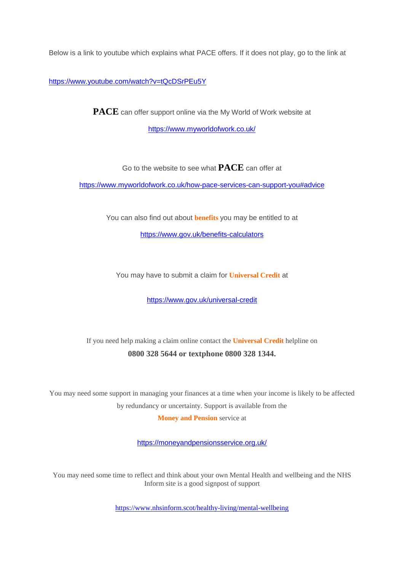Below is a link to youtube which explains what PACE offers. If it does not play, go to the link at

<https://www.youtube.com/watch?v=tQcDSrPEu5Y>

**PACE** can offer support online via the My World of Work website at <https://www.myworldofwork.co.uk/>

Go to the website to see what **PACE** can offer at

<https://www.myworldofwork.co.uk/how-pace-services-can-support-you#advice>

You can also find out about **benefits** you may be entitled to at

<https://www.gov.uk/benefits-calculators>

You may have to submit a claim for **Universal Credit** at

<https://www.gov.uk/universal-credit>

If you need help making a claim online contact the **Universal Credit** helpline on **0800 328 5644 or textphone 0800 328 1344.**

You may need some support in managing your finances at a time when your income is likely to be affected by redundancy or uncertainty. Support is available from the

**Money and Pension** service at

<https://moneyandpensionsservice.org.uk/>

You may need some time to reflect and think about your own Mental Health and wellbeing and the NHS Inform site is a good signpost of support

<https://www.nhsinform.scot/healthy-living/mental-wellbeing>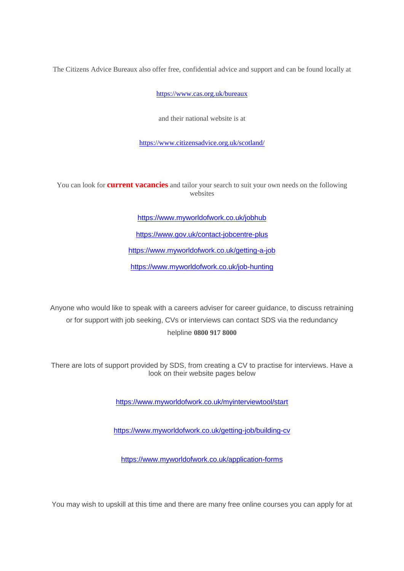The Citizens Advice Bureaux also offer free, confidential advice and support and can be found locally at

<https://www.cas.org.uk/bureaux>

and their national website is at

<https://www.citizensadvice.org.uk/scotland/>

You can look for **current vacancies** and tailor your search to suit your own needs on the following websites

<https://www.myworldofwork.co.uk/jobhub>

<https://www.gov.uk/contact-jobcentre-plus>

<https://www.myworldofwork.co.uk/getting-a-job>

<https://www.myworldofwork.co.uk/job-hunting>

Anyone who would like to speak with a careers adviser for career guidance, to discuss retraining or for support with job seeking, CVs or interviews can contact SDS via the redundancy helpline **0800 917 8000**

There are lots of support provided by SDS, from creating a CV to practise for interviews. Have a look on their website pages below

<https://www.myworldofwork.co.uk/myinterviewtool/start>

<https://www.myworldofwork.co.uk/getting-job/building-cv>

<https://www.myworldofwork.co.uk/application-forms>

You may wish to upskill at this time and there are many free online courses you can apply for at